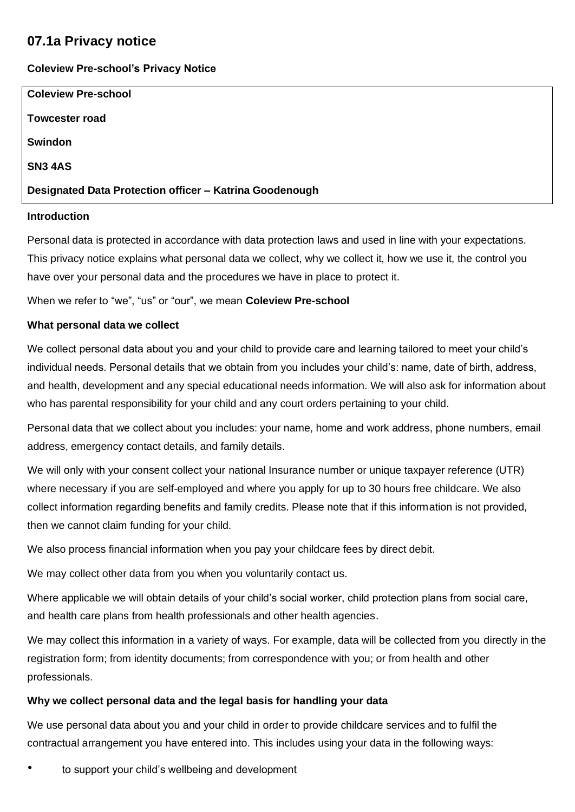# **07.1a Privacy notice**

# **Coleview Pre-school's Privacy Notice**

| <b>Coleview Pre-school</b>                              |  |
|---------------------------------------------------------|--|
| <b>Towcester road</b>                                   |  |
| <b>Swindon</b>                                          |  |
| <b>SN3 4AS</b>                                          |  |
| Designated Data Protection officer - Katrina Goodenough |  |
|                                                         |  |

#### **Introduction**

Personal data is protected in accordance with data protection laws and used in line with your expectations. This privacy notice explains what personal data we collect, why we collect it, how we use it, the control you have over your personal data and the procedures we have in place to protect it.

When we refer to "we", "us" or "our", we mean **Coleview Pre-school**

# **What personal data we collect**

We collect personal data about you and your child to provide care and learning tailored to meet your child's individual needs. Personal details that we obtain from you includes your child's: name, date of birth, address, and health, development and any special educational needs information. We will also ask for information about who has parental responsibility for your child and any court orders pertaining to your child.

Personal data that we collect about you includes: your name, home and work address, phone numbers, email address, emergency contact details, and family details.

We will only with your consent collect your national Insurance number or unique taxpayer reference (UTR) where necessary if you are self-employed and where you apply for up to 30 hours free childcare. We also collect information regarding benefits and family credits. Please note that if this information is not provided, then we cannot claim funding for your child.

We also process financial information when you pay your childcare fees by direct debit.

We may collect other data from you when you voluntarily contact us.

Where applicable we will obtain details of your child's social worker, child protection plans from social care, and health care plans from health professionals and other health agencies.

We may collect this information in a variety of ways. For example, data will be collected from you directly in the registration form; from identity documents; from correspondence with you; or from health and other professionals.

# **Why we collect personal data and the legal basis for handling your data**

We use personal data about you and your child in order to provide childcare services and to fulfil the contractual arrangement you have entered into. This includes using your data in the following ways:

to support your child's wellbeing and development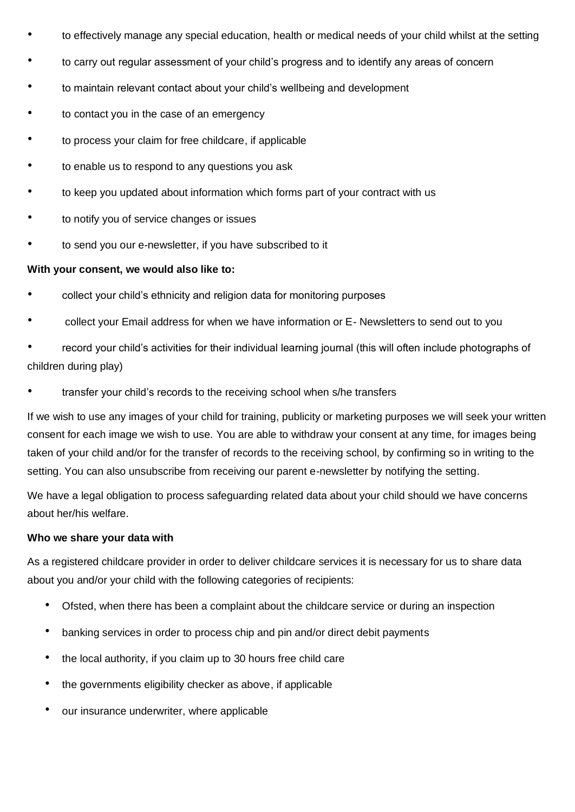- to effectively manage any special education, health or medical needs of your child whilst at the setting
- to carry out regular assessment of your child's progress and to identify any areas of concern
- to maintain relevant contact about your child's wellbeing and development
- to contact you in the case of an emergency
- to process your claim for free childcare, if applicable
- to enable us to respond to any questions you ask
- to keep you updated about information which forms part of your contract with us
- to notify you of service changes or issues
- to send you our e-newsletter, if you have subscribed to it

#### **With your consent, we would also like to:**

- collect your child's ethnicity and religion data for monitoring purposes
- collect your Email address for when we have information or E- Newsletters to send out to you
- record your child's activities for their individual learning journal (this will often include photographs of children during play)
- transfer your child's records to the receiving school when s/he transfers

If we wish to use any images of your child for training, publicity or marketing purposes we will seek your written consent for each image we wish to use. You are able to withdraw your consent at any time, for images being taken of your child and/or for the transfer of records to the receiving school, by confirming so in writing to the setting. You can also unsubscribe from receiving our parent e-newsletter by notifying the setting.

We have a legal obligation to process safeguarding related data about your child should we have concerns about her/his welfare.

#### **Who we share your data with**

As a registered childcare provider in order to deliver childcare services it is necessary for us to share data about you and/or your child with the following categories of recipients:

- Ofsted, when there has been a complaint about the childcare service or during an inspection
- banking services in order to process chip and pin and/or direct debit payments
- the local authority, if you claim up to 30 hours free child care
- the governments eligibility checker as above, if applicable
- our insurance underwriter, where applicable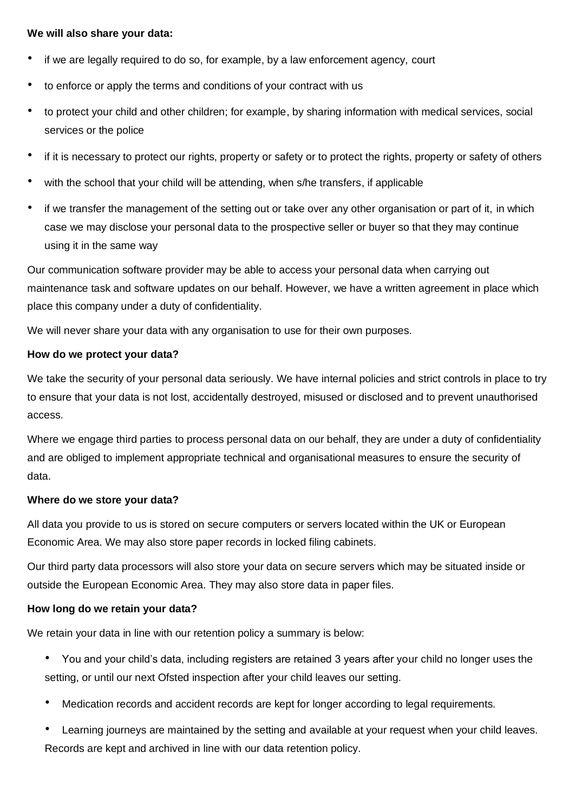#### **We will also share your data:**

- if we are legally required to do so, for example, by a law enforcement agency, court
- to enforce or apply the terms and conditions of your contract with us
- to protect your child and other children; for example, by sharing information with medical services, social services or the police
- if it is necessary to protect our rights, property or safety or to protect the rights, property or safety of others
- with the school that your child will be attending, when s/he transfers, if applicable
- if we transfer the management of the setting out or take over any other organisation or part of it, in which case we may disclose your personal data to the prospective seller or buyer so that they may continue using it in the same way

Our communication software provider may be able to access your personal data when carrying out maintenance task and software updates on our behalf. However, we have a written agreement in place which place this company under a duty of confidentiality.

We will never share your data with any organisation to use for their own purposes.

#### **How do we protect your data?**

We take the security of your personal data seriously. We have internal policies and strict controls in place to try to ensure that your data is not lost, accidentally destroyed, misused or disclosed and to prevent unauthorised access.

Where we engage third parties to process personal data on our behalf, they are under a duty of confidentiality and are obliged to implement appropriate technical and organisational measures to ensure the security of data.

#### **Where do we store your data?**

All data you provide to us is stored on secure computers or servers located within the UK or European Economic Area. We may also store paper records in locked filing cabinets.

Our third party data processors will also store your data on secure servers which may be situated inside or outside the European Economic Area. They may also store data in paper files.

#### **How long do we retain your data?**

We retain your data in line with our retention policy a summary is below:

- You and your child's data, including registers are retained 3 years after your child no longer uses the setting, or until our next Ofsted inspection after your child leaves our setting.
- Medication records and accident records are kept for longer according to legal requirements.
- Learning journeys are maintained by the setting and available at your request when your child leaves. Records are kept and archived in line with our data retention policy.